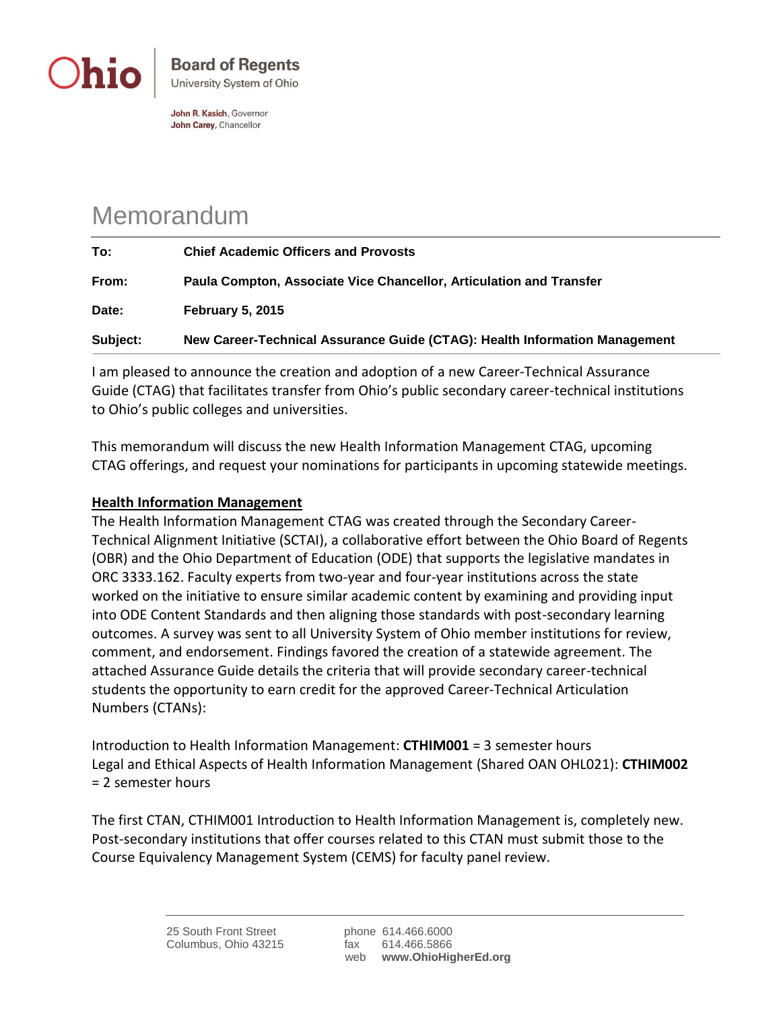

John R. Kasich, Governor John Carey, Chancellor

## Memorandum

| To:      | <b>Chief Academic Officers and Provosts</b>                                |
|----------|----------------------------------------------------------------------------|
| From:    | Paula Compton, Associate Vice Chancellor, Articulation and Transfer        |
| Date:    | <b>February 5, 2015</b>                                                    |
| Subject: | New Career-Technical Assurance Guide (CTAG): Health Information Management |

I am pleased to announce the creation and adoption of a new Career-Technical Assurance Guide (CTAG) that facilitates transfer from Ohio's public secondary career-technical institutions to Ohio's public colleges and universities.

This memorandum will discuss the new Health Information Management CTAG, upcoming CTAG offerings, and request your nominations for participants in upcoming statewide meetings.

## **Health Information Management**

The Health Information Management CTAG was created through the Secondary Career-Technical Alignment Initiative (SCTAI), a collaborative effort between the Ohio Board of Regents (OBR) and the Ohio Department of Education (ODE) that supports the legislative mandates in ORC 3333.162. Faculty experts from two-year and four-year institutions across the state worked on the initiative to ensure similar academic content by examining and providing input into ODE Content Standards and then aligning those standards with post-secondary learning outcomes. A survey was sent to all University System of Ohio member institutions for review, comment, and endorsement. Findings favored the creation of a statewide agreement. The attached Assurance Guide details the criteria that will provide secondary career-technical students the opportunity to earn credit for the approved Career-Technical Articulation Numbers (CTANs):

Introduction to Health Information Management: **CTHIM001** = 3 semester hours Legal and Ethical Aspects of Health Information Management (Shared OAN OHL021): **CTHIM002**  = 2 semester hours

The first CTAN, CTHIM001 Introduction to Health Information Management is, completely new. Post-secondary institutions that offer courses related to this CTAN must submit those to the Course Equivalency Management System (CEMS) for faculty panel review.